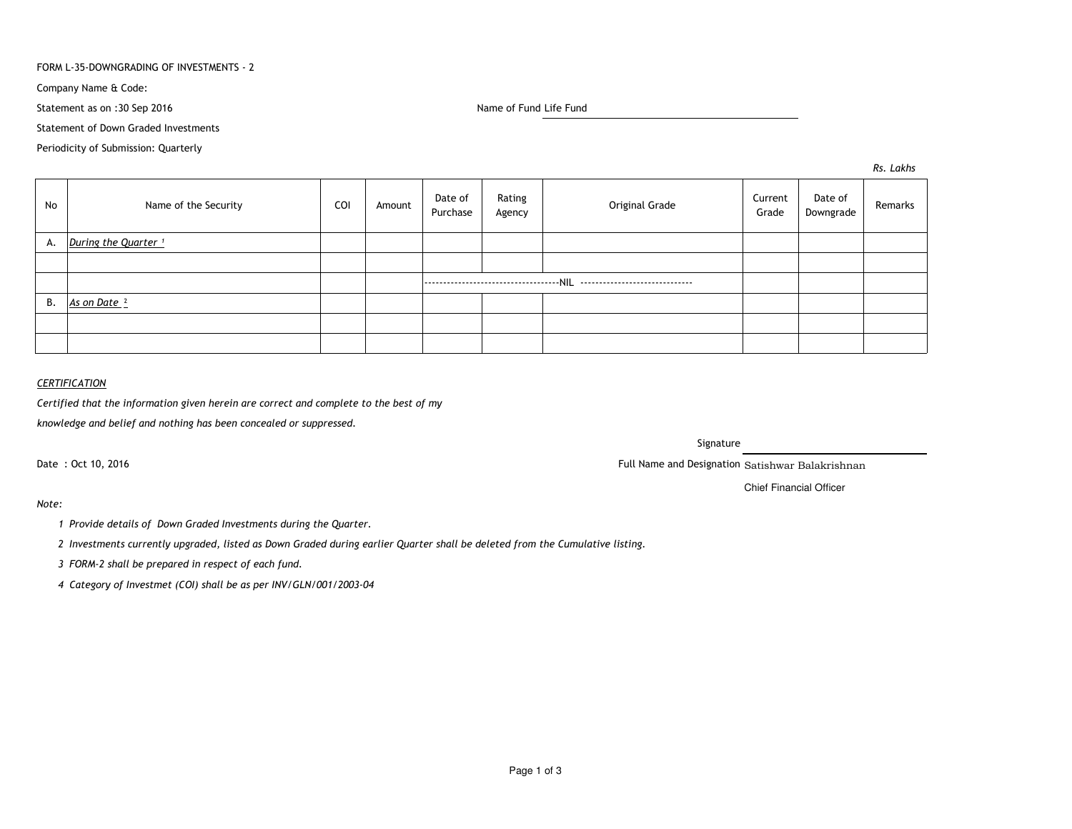### FORM L-35-DOWNGRADING OF INVESTMENTS - 2

Company Name & Code:

Statement as on :30 Sep 2016

Name of Fund Life Fund

Statement of Down Graded Investments

Periodicity of Submission: Quarterly

*Rs. Lakhs*

| No | Name of the Security            | COI | Amount | Date of<br>Purchase | Rating<br>Agency | Original Grade | Current<br>Grade | Date of<br>Downgrade | Remarks |
|----|---------------------------------|-----|--------|---------------------|------------------|----------------|------------------|----------------------|---------|
| А. | During the Quarter <sup>1</sup> |     |        |                     |                  |                |                  |                      |         |
|    |                                 |     |        |                     |                  |                |                  |                      |         |
|    |                                 |     |        |                     |                  |                |                  |                      |         |
| В. | As on Date <sup>2</sup>         |     |        |                     |                  |                |                  |                      |         |
|    |                                 |     |        |                     |                  |                |                  |                      |         |
|    |                                 |     |        |                     |                  |                |                  |                      |         |

## *CERTIFICATION*

*Certified that the information given herein are correct and complete to the best of my*

*knowledge and belief and nothing has been concealed or suppressed.*

Date : Oct 10, 2016

Signature

Full Name and Designation Satishwar Balakrishnan

Chief Financial Officer

*Note:*

*<sup>1</sup> Provide details of Down Graded Investments during the Quarter.* 

*<sup>2</sup> Investments currently upgraded, listed as Down Graded during earlier Quarter shall be deleted from the Cumulative listing.*

*<sup>3</sup> FORM-2 shall be prepared in respect of each fund.*

*<sup>4</sup> Category of Investmet (COI) shall be as per INV/GLN/001/2003-04*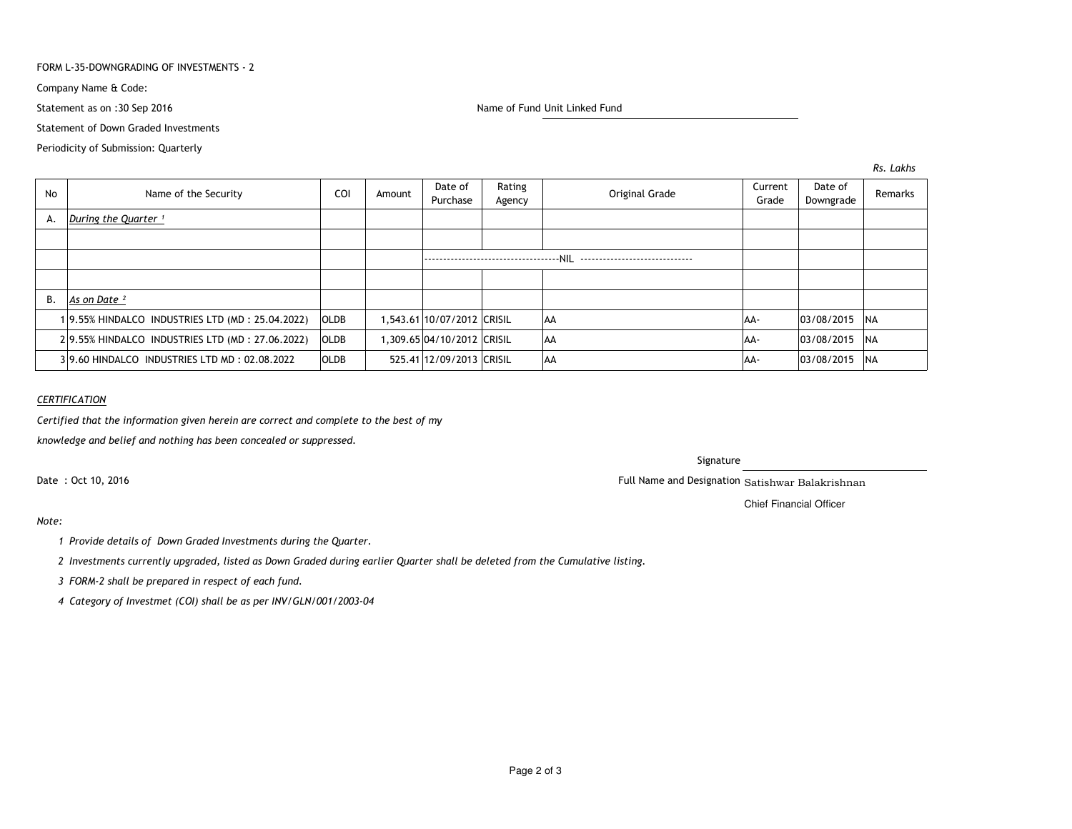### FORM L-35-DOWNGRADING OF INVESTMENTS - 2

Company Name & Code:

Statement as on :30 Sep 2016

Name of Fund Unit Linked Fund

Statement of Down Graded Investments

Periodicity of Submission: Quarterly

*Rs. Lakhs*

| No | Name of the Security                            | COI         | Amount | Date of<br>Purchase        | Rating<br>Agency | Original Grade | Current<br>Grade | Date of<br>Downgrade | Remarks    |
|----|-------------------------------------------------|-------------|--------|----------------------------|------------------|----------------|------------------|----------------------|------------|
| А. | During the Quarter <sup>1</sup>                 |             |        |                            |                  |                |                  |                      |            |
|    |                                                 |             |        |                            |                  |                |                  |                      |            |
|    |                                                 |             |        |                            |                  |                |                  |                      |            |
|    |                                                 |             |        |                            |                  |                |                  |                      |            |
| В. | As on Date <sup>2</sup>                         |             |        |                            |                  |                |                  |                      |            |
|    | 19.55% HINDALCO INDUSTRIES LTD (MD: 25.04.2022) | <b>OLDB</b> |        | 1,543.61 10/07/2012 CRISIL |                  | <b>JAA</b>     | AA-              | 03/08/2015           | <b>NA</b>  |
|    | 29.55% HINDALCO INDUSTRIES LTD (MD: 27.06.2022) | <b>OLDB</b> |        | 1,309.65 04/10/2012 CRISIL |                  | laa            | AA-              | 03/08/2015           | <b>INA</b> |
|    | 39.60 HINDALCO INDUSTRIES LTD MD: 02.08.2022    | OLDB        |        | 525.41 12/09/2013 CRISIL   |                  | <b>JAA</b>     | AA-              | 03/08/2015           | <b>INA</b> |

## *CERTIFICATION*

*Certified that the information given herein are correct and complete to the best of my*

*knowledge and belief and nothing has been concealed or suppressed.*

Date : Oct 10, 2016

## Signature

Full Name and Designation Satishwar Balakrishnan

Chief Financial Officer

# *Note:*

- *<sup>1</sup> Provide details of Down Graded Investments during the Quarter.*
- *<sup>2</sup> Investments currently upgraded, listed as Down Graded during earlier Quarter shall be deleted from the Cumulative listing.*
- *<sup>3</sup> FORM-2 shall be prepared in respect of each fund.*
- *<sup>4</sup> Category of Investmet (COI) shall be as per INV/GLN/001/2003-04*